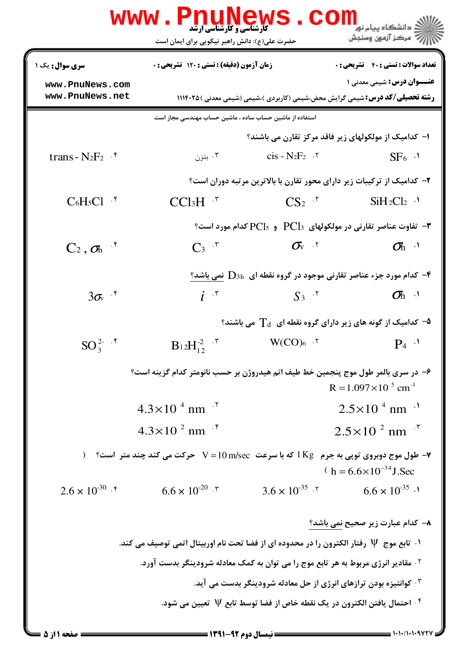| WWW                                                                            | <b>کارشناسی و کارشناسی ارشد</b><br>حضرت علی(ع): دانش راهبر نیکویی برای ایمان است                         | CO                                                                                              | د دانشگاه پيام نو <mark>ر</mark><br>" مرڪز آزمون وسنڊش |
|--------------------------------------------------------------------------------|----------------------------------------------------------------------------------------------------------|-------------------------------------------------------------------------------------------------|--------------------------------------------------------|
| <b>سری سوال :</b> یک ۱                                                         | <b>زمان آزمون (دقیقه) : تستی : 120 تشریحی : 0</b>                                                        |                                                                                                 | <b>تعداد سوالات : تستي : 40 ٪ تشريحي : 0</b>           |
| www.PnuNews.com<br>www.PnuNews.net                                             |                                                                                                          | <b>رشته تحصیلی/کد درس:</b> شیمی گرایش محض،شیمی (کاربردی )،شیمی (شیمی معدنی ) ۱۱۱۴۰۲۵            | <b>عنـــوان درس:</b> شیمی معدنی ۱                      |
|                                                                                | استفاده از ماشین حساب ساده ، ماشین حساب مهندسی مجاز است                                                  |                                                                                                 |                                                        |
|                                                                                |                                                                                                          | ۱– کدامیک از مولکولهای زیر فاقد مرکز تقارن می باشند؟                                            |                                                        |
| trans - $N_2F_2$ $\cdot$ <sup>6</sup>                                          | بنزن $\cdot$ ۳                                                                                           | $cis - N_2F_2$ .                                                                                | $SF6$ .                                                |
|                                                                                |                                                                                                          | ۲- کدامیک از ترکیبات زیر دارای محور تقارن با بالاترین مرتبه دوران است؟                          |                                                        |
| $C_6H_5Cl$ $\cdot$ <sup>6</sup>                                                | $CCI_3H^{-1}$                                                                                            | $CS_2$ $\cdot$ <sup>r</sup>                                                                     | $SiH_2Cl_2$ <sup>.</sup>                               |
|                                                                                |                                                                                                          |                                                                                                 |                                                        |
| $C_2$ , $\sigma_h$ <sup>5</sup>                                                | $C_3$ $\cdot$                                                                                            | $\sigma_{\rm v}$ .                                                                              | $\sigma_{h}$ <sup>1</sup>                              |
|                                                                                |                                                                                                          | - کدام مورد جزء عناصر تقارنی موجود در گروه نقطه ای $\mathrm{D}_{3\mathrm{h}}$ نمی باشد $^\circ$ |                                                        |
| $3\sigma_{v}$ $\cdot$ <sup>*</sup>                                             | $i^{r}$                                                                                                  | $S_3$ <sup><math>\cdot</math>r</sup>                                                            | $\sigma_{h}$ $\theta$                                  |
|                                                                                |                                                                                                          | ه− کدامیک از گونه های زیر دارای گروه نقطه ای $\rm T_d$ می باشند؟                                |                                                        |
| $SO_3^{2-}$ $\cdot$ $\phantom{.}^{\circ}$                                      | $B_1 2H_{12}^{2}$ .                                                                                      | $W(CO)_{6}$ .                                                                                   | $P_4$ <sup>.1</sup>                                    |
|                                                                                | ۶– در سری بالمر طول موج پنجمین خط طیف اتم هیدروژن بر حسب نانومتر کدام گزینه است؟                         |                                                                                                 | $R = 1.097 \times 10^{-5}$ cm <sup>-1</sup>            |
|                                                                                | $4.3 \times 10^{-4}$ nm <sup>-1</sup>                                                                    |                                                                                                 | $2.5 \times 10^{-4}$ nm <sup>-1</sup>                  |
|                                                                                | $4.3 \times 10^{-2}$ nm <sup>-f</sup>                                                                    |                                                                                                 | $2.5 \times 10^{-2}$ nm <sup>-r</sup>                  |
|                                                                                | <b>۷</b> - طول موج دوبروی توپی به جرم   1Kg که با سرعت   V = 10 m/sec   حرکت می کند چند متر  است؟   (    |                                                                                                 | $h = 6.6 \times 10^{-34}$ J. Sec                       |
| $2.6 \times 10^{-30}$ f                                                        | $6.6 \times 10^{-20}$ . \v                                                                               | $3.6 \times 10^{-35}$ . Y                                                                       | $6.6 \times 10^{-35}$ .                                |
|                                                                                |                                                                                                          |                                                                                                 | ۸– کدام عبارت زیر صحیح نمی باشد؟                       |
|                                                                                | $\cdot$ . تابع موج $\,\,\Psi\,$ رفتار الكترون را در محدوده اي از فضا تحت نام اوربيتال اتمي توصيف مي كند. |                                                                                                 |                                                        |
|                                                                                | <sup>7</sup> · مقادیر انرژی مربوط به هر تابع موج را می توان به کمک معادله شرودینگر بدست آورد.            |                                                                                                 |                                                        |
| ۰ <sup>۳ ک</sup> وانتیزه بودن ترازهای انرژی از حل معادله شرودینگر بدست می آید. |                                                                                                          |                                                                                                 |                                                        |
|                                                                                |                                                                                                          | <sup>۴.</sup> احتمال یافتن الکترون در یک نقطه خاص از فضا توسط تابع Ψ تعیین می شود.              |                                                        |
|                                                                                |                                                                                                          |                                                                                                 |                                                        |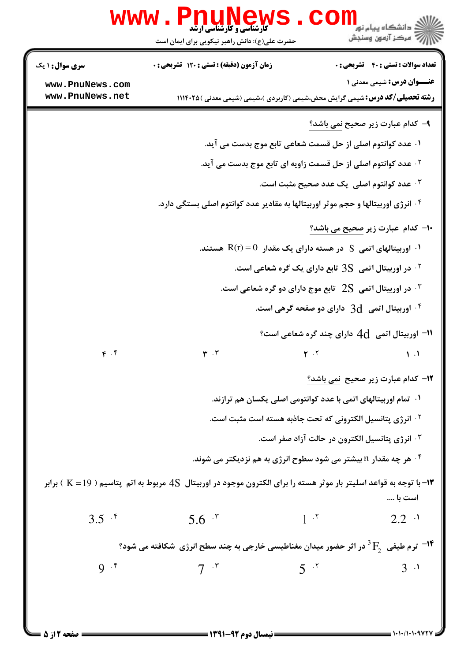|                                    | <b>www.PnuNews</b>                                                                                                                      |                             | کے دانشکاہ پیام نور<br>ا∛ مرکز آزمون وسنجش                                                                                |
|------------------------------------|-----------------------------------------------------------------------------------------------------------------------------------------|-----------------------------|---------------------------------------------------------------------------------------------------------------------------|
|                                    | حضرت علی(ع): دانش راهبر نیکویی برای ایمان است                                                                                           |                             |                                                                                                                           |
| <b>سری سوال :</b> ۱ یک             | زمان آزمون (دقیقه) : تستی : ۱۲۰ تشریحی : 0                                                                                              |                             | <b>تعداد سوالات : تستي : 40 - تشريحي : 0</b>                                                                              |
| www.PnuNews.com<br>www.PnuNews.net |                                                                                                                                         |                             | <b>عنـــوان درس:</b> شیمی معدنی ۱<br><b>رشته تحصیلی/کد درس:</b> شیمی گرایش محض،شیمی (کاربردی )،شیمی (شیمی معدنی ) ۱۱۱۴۰۲۵ |
|                                    |                                                                                                                                         |                             | ۹- کدام عبارت زیر صحیح <u>نمی باشد؟</u>                                                                                   |
|                                    |                                                                                                                                         |                             | ۰۱ عدد کوانتوم اصلی از حل قسمت شعاعی تابع موج بدست می آید.                                                                |
|                                    | <sup>۲ .</sup> عدد کوانتوم اصلی از حل قسمت زاویه ای تابع موج بدست می آید.                                                               |                             |                                                                                                                           |
|                                    | عدد کوانتوم اصلی یک عدد صحیح مثبت است. "                                                                                                |                             |                                                                                                                           |
|                                    | <sup>۰۴</sup> انرژی اوربیتالها و حجم موثر اوربیتالها به مقادیر عدد کوانتوم اصلی بستگی دارد.                                             |                             |                                                                                                                           |
|                                    | <b>۱۰</b> - کدام عبارت زیر <u>صحیح می باشد؟</u>                                                                                         |                             |                                                                                                                           |
|                                    | ۰۱ اوربیتالهای اتمی $\, {\bf S} \,$ در هسته دارای یک مقدار $\, {\bf R} ({\bf r}) \!=\! 0 \,$ هستند.                                     |                             |                                                                                                                           |
|                                    | در اوربیتال اتمی $3S$ تابع دارای یک گره شعاعی است. '                                                                                    |                             |                                                                                                                           |
|                                    |                                                                                                                                         |                             | در اوربیتال اتمی $2\mathrm{S}$ تابع موج دارای دو گره شعاعی است. "                                                         |
|                                    |                                                                                                                                         |                             | اوربیتال اتمی $\rm\,d\,$ دارای دو صفحه گرهی است. $\rm\,$                                                                  |
|                                    |                                                                                                                                         |                             | ا اوربیتال اتمی $\,\rm 4d$ دارای چند گره شعاعی است؟ $\,$                                                                  |
| $\mathfrak{f}$ .                   | $\mathbf{r}$ . $\mathbf{r}$                                                                                                             | $\mathbf{r}$ . $\mathbf{r}$ | $\mathcal{L}$ .                                                                                                           |
|                                    |                                                                                                                                         |                             | 1۲- کدام عبارت زیر صحیح نمی باشد؟                                                                                         |
|                                    | ۰۱ تمام اوربیتالهای اتمی با عدد کوانتومی اصلی یکسان هم ترازند.<br><sup>7</sup> · انرژی پتانسیل الکترونی که تحت جاذبه هسته است مثبت است. |                             |                                                                                                                           |
|                                    |                                                                                                                                         |                             |                                                                                                                           |
|                                    | ۰۳ انرژی پتانسیل الکترون در حالت آزاد صفر است.                                                                                          |                             |                                                                                                                           |
|                                    |                                                                                                                                         |                             | ۰۴ هر چه مقدار <b>n بیشتر می شود سطوح انرژی به هم نزدیکتر</b> می شوند.                                                    |
|                                    | ۱۳- با توجه به قواعد اسلیتر بار موثر هسته را برای الکترون موجود در اوربیتال  4S مربوط به اتم  پتاسیم ( K = 19 ) برابر                   |                             | است با ….                                                                                                                 |
| $3.5$ $\cdot$ <sup>5</sup>         | $5.6^{4}$                                                                                                                               | $1 \cdot^{\mathsf{r}}$      | $2.2$ $\cdot$ <sup>1</sup>                                                                                                |
|                                    | ترم طیفی $\mathrm{F_{2}^{\mathrm{}}}\,$ در اثر حضور میدان مغناطیسی خارجی به چند سطح انرژی $\,$ شکافته می شود $\,$ $\,$                  |                             |                                                                                                                           |
| $9 \cdot$                          | $7^{r}$                                                                                                                                 | $5^{7}$                     | 3 <sup>1</sup>                                                                                                            |
|                                    |                                                                                                                                         |                             |                                                                                                                           |
|                                    |                                                                                                                                         |                             |                                                                                                                           |
|                                    | ـــــــــــ نيمسال ده م ۹۲-۱۳۹۱ ـــــــــــ                                                                                             |                             |                                                                                                                           |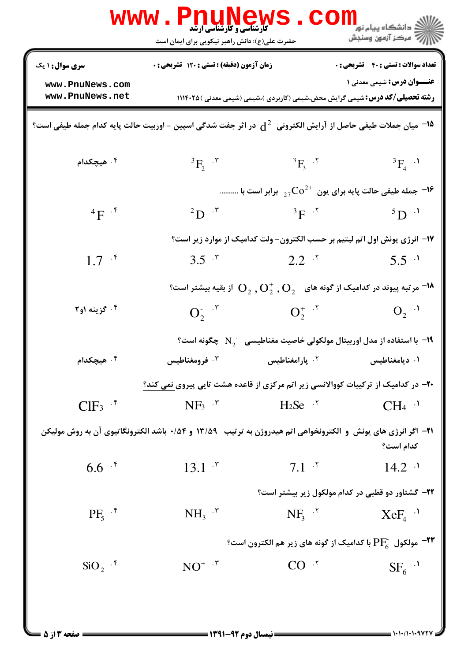|                                                                                                                               | <b>WWW.PNUNEWS</b><br><b>ٔ کارشناسی و کارشناسی ارشد</b><br>حضرت علی(ع): دانش راهبر نیکویی برای ایمان است     |                                         | الله دانشگاه پیام نور<br>الله عرکز آزمون وسنجش                                                                                                                            |
|-------------------------------------------------------------------------------------------------------------------------------|--------------------------------------------------------------------------------------------------------------|-----------------------------------------|---------------------------------------------------------------------------------------------------------------------------------------------------------------------------|
| <b>سری سوال : ۱ یک</b>                                                                                                        | زمان آزمون (دقیقه) : تستی : ۱۲۰ تشریحی : ۰                                                                   |                                         | <b>تعداد سوالات : تستی : 40 - تشریحی : 0</b>                                                                                                                              |
| www.PnuNews.com<br>www.PnuNews.net                                                                                            |                                                                                                              |                                         | <b>عنـــوان درس:</b> شیمی معدنی ۱<br><b>رشته تحصیلی/کد درس:</b> شیمی گرایش محض،شیمی (کاربردی )،شیمی (شیمی معدنی ) ۱۱۱۴۰۲۵                                                 |
| $^4$ میان جملات طیفی حاصل از آرایش الکترونی $\,\mathrm{d}^2$ در اثر جفت شدگی اسپین – اوربیت حالت پایه کدام جمله طیفی است $^3$ |                                                                                                              |                                         |                                                                                                                                                                           |
| ۰۴ هیچکدام                                                                                                                    | ${}^3F_2$ $\cdot$ $\cdot$                                                                                    | $^{3}F_{3}$ . $^{7}$                    | ${}^{3}F_{4}$ .                                                                                                                                                           |
|                                                                                                                               |                                                                                                              |                                         | - جمله طیفی حالت پایه برای یون $\rm CO^{2+}$ برابر است با $\bullet$                                                                                                       |
| $\mathbf{F}^{-\mathfrak{F}}$                                                                                                  | $^{2}D$ $\cdot$ $\cdot$                                                                                      | $^3F$ $\cdot$ $^7$                      | $5\text{D}$ <sup>1</sup>                                                                                                                                                  |
|                                                                                                                               |                                                                                                              |                                         | ۱۷- انرژی یونش اول اتم لیتیم بر حسب الکترون- ولت کدامیک از موارد زیر است؟                                                                                                 |
| $1.7^{+5}$                                                                                                                    | 3.5 $\cdot$                                                                                                  | $2.2^{7}$                               | $5.5$ $\cdot$                                                                                                                                                             |
|                                                                                                                               |                                                                                                              |                                         | $^{\circ}$ از بقیه بیشتر است $^{\circ}$ ( $^{\circ}$ رتبه پیوند در کدامیک از گونه های $^{\circ}$ , $\rm O_2^{\circ}$ , $\rm O_2^{\circ}$ ) از بقیه بیشتر است $^{\bullet}$ |
| ۲ گزينه ۱و۲ $\cdot$                                                                                                           | $O_2^{\cdot \cdot \cdot r}$ $O_2^{\cdot \cdot \cdot r}$                                                      |                                         | $O_2$ <sup>1</sup>                                                                                                                                                        |
|                                                                                                                               |                                                                                                              |                                         | ا با استفاده از مدل اوربیتال مولکولی خاصیت مغناطیسی $\rm N_2^-$ چگونه است $^{\circ}$                                                                                      |
| ۰ <sup>۴</sup> هیچکدام                                                                                                        | فرومغناطیس $\cdot^{\mathsf{\tau}}$                                                                           | ۰ <sup>۲</sup> پارامغناطیس              | ۰۱ دیامغناطیس                                                                                                                                                             |
|                                                                                                                               | ۲۰- در کدامیک از ترکیبات کووالانسی زیر اتم مرکزی از قاعده هشت تایی پیروی نمی کند؟                            |                                         |                                                                                                                                                                           |
| $CIF_3$ $.*$                                                                                                                  | $NF_3$ $\cdot$                                                                                               | $H_2$ Se <sup><math>\cdot</math>r</sup> | $CH_4$ <sup>.</sup>                                                                                                                                                       |
|                                                                                                                               | 21− اگر انرژی های یونش و الکترونخواهی اتم هیدروژن به ترتیب  ۱۳/۵۹ و ۱۴/۰ باشد الکترونگاتیوی آن به روش مولیکن |                                         | كدام است؟                                                                                                                                                                 |
| $6.6$ $\cdot$ $\cdot$                                                                                                         | $13.1$ $\cdot$ <sup>r</sup>                                                                                  | $7.1-7$                                 | $14.2$ <sup>.1</sup>                                                                                                                                                      |
|                                                                                                                               |                                                                                                              |                                         | ۲۲- گشتاور دو قطبی در کدام مولکول زیر بیشتر است؟                                                                                                                          |
| $PF_s$ <sup><math>\cdot</math></sup>                                                                                          | $NH3$ $\cdot$                                                                                                | $NF_{3}$ $\cdot$ <sup>r</sup>           | $XeF_4$ <sup>.</sup>                                                                                                                                                      |
| مولکول $\rm{PF}_{6}^{-}$ با کدامیک از گونه های زیر هم الکترون است؟ $\rm{PP}^{-}$                                              |                                                                                                              |                                         |                                                                                                                                                                           |
| $\text{SiO}_2$ $\cdot$ <sup>6</sup>                                                                                           | $NO^+$ $.7$                                                                                                  | CO <sup>7</sup>                         | $SF6$ <sup>.1</sup>                                                                                                                                                       |
|                                                                                                                               |                                                                                                              |                                         |                                                                                                                                                                           |
| = صفحه 13 × 5                                                                                                                 | <b>ـــــ ن</b> يمسال ده م ۹۲-۱۳۹۱ <b>ـــــــ</b>                                                             |                                         |                                                                                                                                                                           |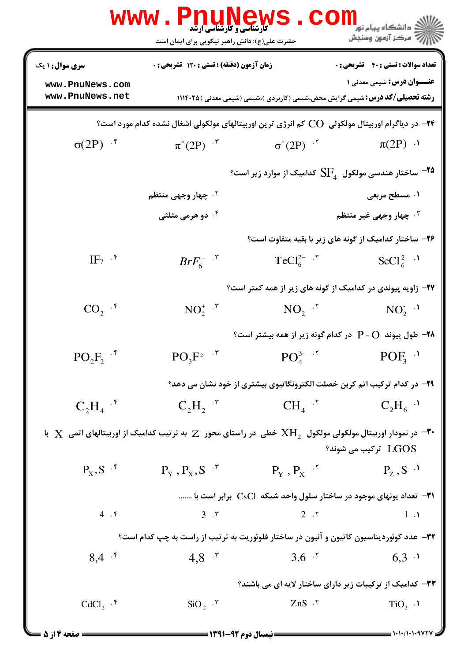|                                    | <b>www.Pnunew</b><br><b>کارشناسی و کارشناسی ارشد</b><br>حضرت علی(ع): دانش راهبر نیکویی برای ایمان است                               |                                                                                                                                                                                                                                                                                                                                                                                                    | ≦ دانشگاه پیام نو <mark>ر</mark><br>رآ مرکز آزمون وسنجش |
|------------------------------------|-------------------------------------------------------------------------------------------------------------------------------------|----------------------------------------------------------------------------------------------------------------------------------------------------------------------------------------------------------------------------------------------------------------------------------------------------------------------------------------------------------------------------------------------------|---------------------------------------------------------|
| <b>سری سوال : ۱ یک</b>             | زمان آزمون (دقیقه) : تستی : ۱۲۰ تشریحی : 0                                                                                          |                                                                                                                                                                                                                                                                                                                                                                                                    | تعداد سوالات : تستى : 40 - تشريحي : 0                   |
| www.PnuNews.com<br>www.PnuNews.net |                                                                                                                                     |                                                                                                                                                                                                                                                                                                                                                                                                    | <b>عنـــوان درس:</b> شیمی معدنی ۱                       |
|                                    |                                                                                                                                     | <b>رشته تحصیلی/کد درس:</b> شیمی گرایش محض،شیمی (کاربردی )،شیمی (شیمی معدنی ) ۱۱۱۴۰۲۵                                                                                                                                                                                                                                                                                                               |                                                         |
|                                    | ۲۴− در دیاگرام اوربیتال مولکولی   CO کم انرژی ترین اوربیتالهای مولکولی اشغال نشده کدام مورد است؟                                    |                                                                                                                                                                                                                                                                                                                                                                                                    |                                                         |
| $\sigma(2P)$ if                    | $\pi^*(2P)^{-\tau}$                                                                                                                 | $\sigma^*(2P)$ '                                                                                                                                                                                                                                                                                                                                                                                   | $\pi(2P)$ ·                                             |
|                                    |                                                                                                                                     | $^{\circ}$ ساختار هندسی مولکول $\mathrm{SF}_{_{4}}$ کدامیک از موارد زیر است $^{-1}$                                                                                                                                                                                                                                                                                                                |                                                         |
|                                    | <sup>۲ .</sup> چهار وجهی منتظم                                                                                                      |                                                                                                                                                                                                                                                                                                                                                                                                    | ۰۱ مسطح مربعی                                           |
|                                    | ۰۴ دو هرمی مثلثی                                                                                                                    |                                                                                                                                                                                                                                                                                                                                                                                                    | ۰۳ چهار وجهی غیر منتظم                                  |
|                                    |                                                                                                                                     | ۲۶- ساختار کدامیک از گونه های زیر با بقیه متفاوت است؟                                                                                                                                                                                                                                                                                                                                              |                                                         |
| $IF_7$ $\cdot$                     | $BrF_6^{-}$ $\cdot$ $\cdot$                                                                                                         | $TeCl_6^{2-7}$                                                                                                                                                                                                                                                                                                                                                                                     | SeCl <sup>2-</sup> . <sup>1</sup>                       |
|                                    |                                                                                                                                     | ۲۷- زاویه پیوندی در کدامیک از گونه های زیر از همه کمتر است؟                                                                                                                                                                                                                                                                                                                                        |                                                         |
| $CO_2$ .*                          | $NO_2^+$ $\cdot$ $\cdot$                                                                                                            | $NO2$ $\cdot$ <sup>r</sup>                                                                                                                                                                                                                                                                                                                                                                         | $NO_2^{\sim}$ .                                         |
|                                    |                                                                                                                                     | <b>۲۸</b> - طول پیوند P - O در کدام گونه زیر از همه بیشتر است؟                                                                                                                                                                                                                                                                                                                                     |                                                         |
| $PO_2F_2$ <sup>.*</sup>            | $PO_3F^2$ .                                                                                                                         | $PO_4^{3-7}$                                                                                                                                                                                                                                                                                                                                                                                       | $POF_3$ <sup>1</sup>                                    |
|                                    |                                                                                                                                     | ۲۹- در کدام ترکیب اتم کربن خصلت الکترونگاتیوی بیشتری از خود نشان می دهد؟                                                                                                                                                                                                                                                                                                                           |                                                         |
| $C_2H_4$ <sup>.*</sup>             | $C_2H_2$ <sup>"</sup>                                                                                                               | $CH_4$ $\cdot$ <sup>r</sup>                                                                                                                                                                                                                                                                                                                                                                        | $C_2H_6$ <sup>.</sup>                                   |
|                                    | در نمودار اوربیتال مولکولی مولکول $\rm{XH}_2$ خطی در راستای محور $\rm{Z}$ به ترتیب کدامیک از اوربیتالهای اتمی $\rm{X}$ با $\rm{''}$ |                                                                                                                                                                                                                                                                                                                                                                                                    | ترکیب می شوند؟ $\rm{LGOS}$                              |
| $P_X, S$ $\cdot$ <sup>*</sup>      | $P_Y$ , $P_X$ , $S$ <sup>+</sup>                                                                                                    | $P_{\rm v}$ , $P_{\rm x}$ . <sup>*</sup>                                                                                                                                                                                                                                                                                                                                                           | $P_z$ , S <sup>1</sup>                                  |
|                                    |                                                                                                                                     | <b>۳۱</b> - تعداد یونهای موجود در ساختار سلول واحد شبکه CsCl برابر است با                                                                                                                                                                                                                                                                                                                          |                                                         |
| 4.5                                | $3 \cdot 5$                                                                                                                         | $2 \cdot 7$                                                                                                                                                                                                                                                                                                                                                                                        | $1 \cdot \mathcal{N}$                                   |
|                                    | ۳۲- عدد کوئوردیناسیون کاتیون و آنیون در ساختار فلوئوریت به ترتیب از راست به چپ کدام است؟                                            |                                                                                                                                                                                                                                                                                                                                                                                                    |                                                         |
| $8,4$ .*                           | $4,8$ $\cdot$                                                                                                                       | $3,6$ .                                                                                                                                                                                                                                                                                                                                                                                            | $6,3$ $\cdot$                                           |
|                                    |                                                                                                                                     | ۳۳- کدامیک از ترکیبات زیر دارای ساختار لایه ای می باشند؟                                                                                                                                                                                                                                                                                                                                           |                                                         |
| $CdCl2$ .*                         |                                                                                                                                     | $\text{SiO}_2$ $\cdot$ $\text{\textbf{y}}$ $\cdot$ $\text{\textbf{y}}$ $\cdot$ $\text{\textbf{y}}$ $\cdot$ $\text{\textbf{y}}$ $\cdot$ $\text{\textbf{y}}$ $\cdot$ $\text{\textbf{y}}$ $\cdot$ $\text{\textbf{y}}$ $\cdot$ $\text{\textbf{y}}$ $\cdot$ $\text{\textbf{y}}$ $\cdot$ $\text{\textbf{y}}$ $\cdot$ $\text{\textbf{y}}$ $\cdot$ $\text{\textbf{y}}$ $\cdot$ $\text{\textbf{y}}$ $\cdot$ | $TiO2$ .                                                |
| <b>= صفحه ۱۴ز ۵</b> =              |                                                                                                                                     |                                                                                                                                                                                                                                                                                                                                                                                                    |                                                         |